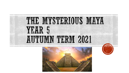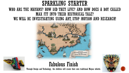## SPARKLING STARTER

### WHO ARE THE MAYANS? HOW DID THEY LIVE? AND HOW DOES A BOY CALLED **MAX FIT INTO THEIR HISTORICAL TALE?** WE WILL BE INVESTIGATING USING ART, STOP MOTION AND RESEARCH!





Through Design and Technology, the children will create their own traditional Mayan whistle.



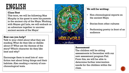## ENGLISH

#### **Class Text**

This term, we will be following Max Murphy in his quest to save his parents in the ancient city of the Maya. Working with Mayan girl Lola, we will embark on an adventure together to uncover ancient secrets of the Maya!

#### **How can you help?**

Talk to your child about what they are reading. What do they like or dislike about it? What are the themes of the story? Which character do they like best and why?

Encourage them to read lots of nonfiction text about living things and their habitats. Also reading a variety of nonchronological texts.



#### **We will be writing:**

- Non-chronological reports on the ancient Maya
- Stories from other cultures
- Performing poetry in front of an audience

#### **Assessment**

The children will be sitting assessments in December with our new assessment program Pixl. From this, we will be able to determine further intervention needs for the children within the class.

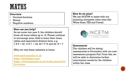## **MATHS**

#### **Overview**

- Decimal fractions
- Money
- Negative numbers

#### **How can you help?**

As we move into year 5, the children should know all times tables up to 12. Please continue to encourage your child to learn their times tables and associated division facts. e.g  $7 X 6 = 42, 6 X 7 = 42, 42 ? 7 + 6$  and  $42 / 6 = 7$ 

Why not visit these websites at home:

[www.myminimaths.co.uk](http://www.myminimaths.co.uk/) <https://ttrockstars.com/> [https://www.topmarks.co.uk/maths-games/hit](https://www.topmarks.co.uk/maths-games/hit-the-button)the-button

**How do we plan?** We use NCETM to assist with our planning alongside other sites like White Rose, TES and Twinkl.



#### **Assessment**

The children will be sitting assessments in December with our new assessment program Pixl. From this, we will be able to determine further intervention needs for the children within the class.

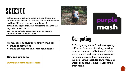## SCIENCE

In Science, we will be looking at living things and their habitats. We will be delving into their lifecycles and how different mammals, reptiles and amphibians reproduce, and comparing this with the reproduction of plants.

We will be outside as much as we can, making observations of the local area.

We will use our scientific enquiry skills to:

- make observations
- make predictions and form conclusions

#### **How can you help?**

[www.bbc.com/bitesize/topics](http://www.bbc.com/bitesize/topics)



# purple<br>mash

## Computing

In Computing, we will be investigating different elements of coding, making sure we are aware of being safe while being online and beginning to explore spreadsheets and their use of data. We use Purple Mash for our scheme of work. Your child is able to access this from home.

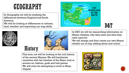## GEOGRAPHY

In Geogra[phy, we will be studying the](https://www.google.com/url?sa=i&rct=j&q=&esrc=s&source=images&cd=&cad=rja&uact=8&ved=2ahUKEwjNkqiPp9beAhVPxYUKHZkTA4oQjRx6BAgBEAU&url=https://www.biography.com/people/william-blake-9214491&psig=AOvVaw0Evhvd-7TraoXp-zS1TMDQ&ust=1542368107977972)  differences between England and South America.

We will be looking at differences in cultures, New WILL BE LOOKING AT QUITERCIES IN CULTURES,

**History** 





In D&T, we will be researching information on Mayan whistles, why they exist and what they were used for. We will design and then create our own Mayan whistle out of clay, adding detail and colour.

This term, we will be looking at the rich history of the ancient Mayans. We will familiarise ourselves with the timeline of the Maya, look at ancient art, fashion, gods and ball games. We will even be attempting to write in Maya Glyphs!



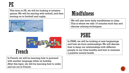PE

This term in PE, we will be looking at invasion games. We will be starting with netball, and then moving on to football and rugby.



## **Mindfulness**

We will also have daily mindfulness in class. This is where we take 10 minutes each day and discuss calming techniques.



French

In French, we will be learning how to proceed with another language while on holiday. After this topic, we will be learning how to order and eat out in French.

## PSHE

In PSHE, we will be looking at new beginnings and how we form relationships. We will discuss how to keep our relationships with different people in our lives healthy and how to maintain a positive mental health.